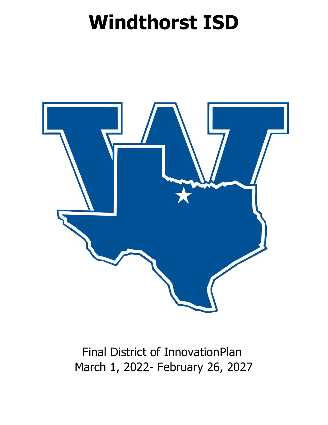# **Windthorst ISD**



# Final District of InnovationPlan March 1, 2022- February 26, 2027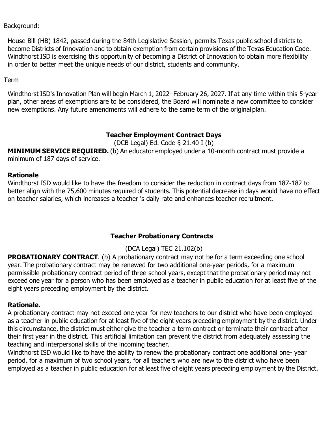Background:

House Bill (HB) 1842, passed during the 84th Legislative Session, permits Texas public school districts to become Districts of Innovation and to obtain exemption from certain provisions of the Texas Education Code. Windthorst ISD is exercising this opportunity of becoming a District of Innovation to obtain more flexibility in order to better meet the unique needs of our district, students and community.

#### Term

Windthorst ISD's Innovation Plan will begin March 1, 2022- February 26, 2027. If at any time within this 5-year plan, other areas of exemptions are to be considered, the Board will nominate a new committee to consider new exemptions. Any future amendments will adhere to the same term of the originalplan.

#### **Teacher Employment Contract Days**

(DCB Legal) Ed. Code § 21.40 I (b)

**MINIMUM SERVICE REQUIRED.** (b) An educator employed under a 10-month contract must provide a minimum of 187 days of service.

#### **Rationale**

Windthorst ISD would like to have the freedom to consider the reduction in contract days from 187-182 to better align with the 75,600 minutes required of students. This potential decrease in days would have no effect on teacher salaries, which increases a teacher 's daily rate and enhances teacher recruitment.

#### **Teacher Probationary Contracts**

# (DCA Legal) TEC 21.102(b)

**PROBATIONARY CONTRACT.** (b) A probationary contract may not be for a term exceeding one school year. The probationary contract may be renewed for two additional one-year periods, for a maximum permissible probationary contract period of three school years, except that the probationary period may not exceed one year for a person who has been employed as a teacher in public education for at least five of the eight years preceding employment by the district.

#### **Rationale.**

A probationary contract may not exceed one year for new teachers to our district who have been employed as a teacher in public education for at least five of the eight years preceding employment by the district. Under this circumstance, the district must either give the teacher a term contract or terminate their contract after their first year in the district. This artificial limitation can prevent the district from adequately assessing the teaching and interpersonal skills of the incoming teacher.

Windthorst ISD would like to have the ability to renew the probationary contract one additional one- year period, for a maximum of two school years, for all teachers who are new to the district who have been employed as a teacher in public education for at least five of eight years preceding employment by the District.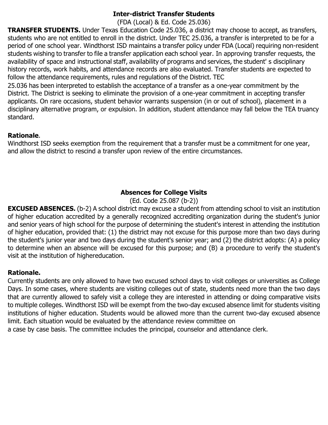#### **Inter-district Transfer Students**

(FDA (Local) & Ed. Code 25.036)

**TRANSFER STUDENTS.** Under Texas Education Code 25.036, a district may choose to accept, as transfers, students who are not entitled to enroll in the district. Under TEC 25.036, a transfer is interpreted to be for a period of one school year. Windthorst ISD maintains a transfer policy under FDA (Local) requiring non-resident students wishing to transfer to file a transfer application each school year. In approving transfer requests, the availability of space and instructional staff, availability of programs and services, the student' s disciplinary history records, work habits, and attendance records are also evaluated. Transfer students are expected to follow the attendance requirements, rules and regulations of the District. TEC

25.036 has been interpreted to establish the acceptance of a transfer as a one-year commitment by the District. The District is seeking to eliminate the provision of a one-year commitment in accepting transfer applicants. On rare occasions, student behavior warrants suspension (in or out of school), placement in a disciplinary alternative program, or expulsion. In addition, student attendance may fall below the TEA truancy standard.

#### **Rationale**.

Windthorst ISD seeks exemption from the requirement that a transfer must be a commitment for one year, and allow the district to rescind a transfer upon review of the entire circumstances.

# **Absences for College Visits**

(Ed. Code 25.087 (b-2))

**EXCUSED ABSENCES.** (b-2) A school district may excuse a student from attending school to visit an institution of higher education accredited by a generally recognized accrediting organization during the student's junior and senior years of high school for the purpose of determining the student's interest in attending the institution of higher education, provided that: (1) the district may not excuse for this purpose more than two days during the student's junior year and two days during the student's senior year; and (2) the district adopts: (A) a policy to determine when an absence will be excused for this purpose; and (B) a procedure to verify the student's visit at the institution of highereducation.

#### **Rationale.**

Currently students are only allowed to have two excused school days to visit colleges or universities as College Days. In some cases, where students are visiting colleges out of state, students need more than the two days that are currently allowed to safely visit a college they are interested in attending or doing comparative visits to multiple colleges. Windthorst ISD will be exempt from the two-day excused absence limit for students visiting institutions of higher education. Students would be allowed more than the current two-day excused absence limit. Each situation would be evaluated by the attendance review committee on

a case by case basis. The committee includes the principal, counselor and attendance clerk.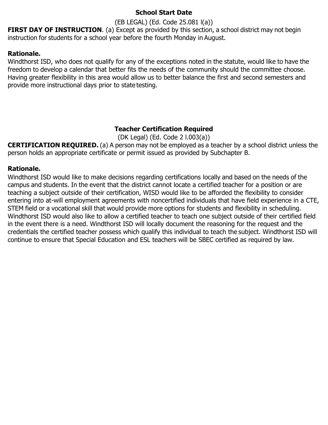#### **School Start Date**

(EB LEGAL) (Ed. Code 25.081 l(a))

**FIRST DAY OF INSTRUCTION.** (a) Except as provided by this section, a school district may not begin instruction for students for a school year before the fourth Monday in August.

#### **Rationale.**

Windthorst ISD, who does not qualify for any of the exceptions noted in the statute, would like to have the freedom to develop a calendar that better fits the needs of the community should the committee choose. Having greater flexibility in this area would allow us to better balance the first and second semesters and provide more instructional days prior to state testing.

#### **Teacher Certification Required**

(DK Legal) (Ed. Code 2 l.003(a))

**CERTIFICATION REQUIRED.** (a) A person may not be employed as a teacher by a school district unless the person holds an appropriate certificate or permit issued as provided by Subchapter B.

#### **Rationale.**

Windthorst ISD would like to make decisions regarding certifications locally and based on the needs of the campus and students. In the event that the district cannot locate a certified teacher for a position or are teaching a subject outside of their certification, WISD would like to be afforded the flexibility to consider entering into at-will employment agreements with noncertified individuals that have field experience in a CTE, STEM field or a vocational skill that would provide more options for students and flexibility in scheduling. Windthorst ISD would also like to allow a certified teacher to teach one subject outside of their certified field in the event there is a need. Windthorst ISD will locally document the reasoning for the request and the credentials the certified teacher possess which qualify this individual to teach the subject. Windthorst ISD will continue to ensure that Special Education and ESL teachers will be SBEC certified as required by law.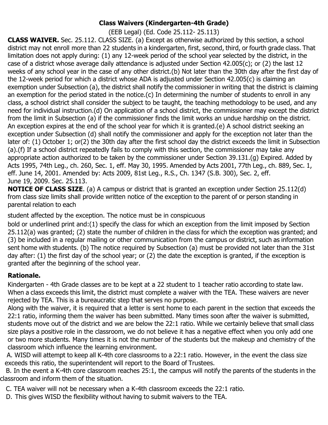# **Class Waivers (Kindergarten-4th Grade)**

(EEB Legal) (Ed. Code 25.112- 25.113)

**CLASS WAIVER.** Sec. 25.112. CLASS SIZE. (a) Except as otherwise authorized by this section, a school district may not enroll more than 22 students in a kindergarten, first, second, third, or fourth grade class. That limitation does not apply during: (1) any 12-week period of the school year selected by the district, in the case of a district whose average daily attendance is adjusted under Section 42.005(c); or (2) the last 12 weeks of any school year in the case of any other district.(b) Not later than the 30th day after the first day of the 12-week period for which a district whose ADA is adjusted under Section 42.005(c) is claiming an exemption under Subsection (a), the district shall notify the commissioner in writing that the district is claiming an exemption for the period stated in the notice.(c) In determining the number of students to enroll in any class, a school district shall consider the subject to be taught, the teaching methodology to be used, and any need for individual instruction.(d) On application of a school district, the commissioner may except the district from the limit in Subsection (a) if the commissioner finds the limit works an undue hardship on the district. An exception expires at the end of the school year for which it is granted.(e) A school district seeking an exception under Subsection (d) shall notify the commissioner and apply for the exception not later than the later of: (1) October 1; or(2) the 30th day after the first school day the district exceeds the limit in Subsection (a).(f) If a school district repeatedly fails to comply with this section, the commissioner may take any appropriate action authorized to be taken by the commissioner under Section 39.131.(g) Expired. Added by Acts 1995, 74th Leg., ch. 260, Sec. 1, eff. May 30, 1995. Amended by Acts 2001, 77th Leg., ch. 889, Sec. 1, eff. June 14, 2001. Amended by: Acts 2009, 81st Leg., R.S., Ch. 1347 (S.B. 300), Sec. 2, eff. June 19, 2009. Sec. 25.113.

**NOTICE OF CLASS SIZE.** (a) A campus or district that is granted an exception under Section 25.112(d) from class size limits shall provide written notice of the exception to the parent of or person standing in parental relation to each

student affected by the exception. The notice must be in conspicuous

bold or underlined print and:(1) specify the class for which an exception from the limit imposed by Section 25.112(a) was granted; (2) state the number of children in the class for which the exception was granted; and (3) be included in a regular mailing or other communication from the campus or district, such as information sent home with students. (b) The notice required by Subsection (a) must be provided not later than the 31st day after: (1) the first day of the school year; or (2) the date the exception is granted, if the exception is granted after the beginning of the school year.

# **Rationale.**

Kindergarten - 4th Grade classes are to be kept at a 22 student to 1 teacher ratio according to state law. When a class exceeds this limit, the district must complete a waiver with the TEA. These waivers are never rejected by TEA. This is a bureaucratic step that serves no purpose.

Along with the waiver, it is required that a letter is sent home to each parent in the section that exceeds the 22:1 ratio, informing them the waiver has been submitted. Many times soon after the waiver is submitted, students move out of the district and we are below the 22:1 ratio. While we certainly believe that small class size plays a positive role in the classroom, we do not believe it has a negative effect when you only add one or two more students. Many times it is not the number of the students but the makeup and chemistry of the classroom which influence the learning environment.

A. WISD will attempt to keep all K-4th core classrooms to a 22:1 ratio. However, in the event the class size exceeds this ratio, the superintendent will report to the Board of Trustees.

 B. In the event a K-4th core classroom reaches 25:1, the campus will notify the parents of the students in the classroom and inform them of the situation.

- C. TEA waiver will not be necessary when a K-4th classroom exceeds the 22:1 ratio.
- D. This gives WISD the flexibility without having to submit waivers to the TEA.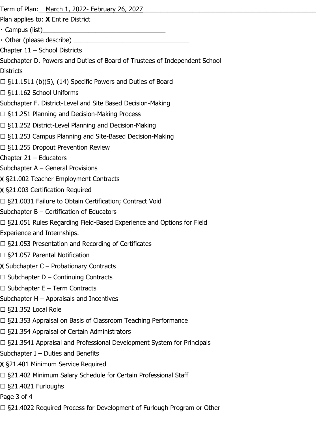Term of Plan: <u>March 1, 2022- February 26, 2027</u>

Plan applies to: **X** Entire District

Campus (list)\_\_\_\_\_\_\_\_\_\_\_\_\_\_\_\_\_\_\_\_\_\_\_\_\_\_\_\_\_\_\_\_\_\_\_

• Other (please describe)

Chapter 11 – School Districts

Subchapter D. Powers and Duties of Board of Trustees of Independent School **Districts** 

- $\Box$  §11.1511 (b)(5), (14) Specific Powers and Duties of Board
- ☐ §11.162 School Uniforms
- Subchapter F. District-Level and Site Based Decision-Making
- ☐ §11.251 Planning and Decision-Making Process
- ☐ §11.252 District-Level Planning and Decision-Making
- ☐ §11.253 Campus Planning and Site-Based Decision-Making
- □ §11.255 Dropout Prevention Review
- Chapter 21 Educators
- Subchapter A General Provisions
- X §21.002 Teacher Employment Contracts
- X §21.003 Certification Required
- ☐ §21.0031 Failure to Obtain Certification; Contract Void
- Subchapter B Certification of Educators
- ☐ §21.051 Rules Regarding Field-Based Experience and Options for Field
- Experience and Internships.
- ☐ §21.053 Presentation and Recording of Certificates
- ☐ §21.057 Parental Notification
- X Subchapter C Probationary Contracts
- $\Box$  Subchapter D Continuing Contracts
- $\Box$  Subchapter E Term Contracts
- Subchapter H Appraisals and Incentives
- ☐ §21.352 Local Role
- □ §21.353 Appraisal on Basis of Classroom Teaching Performance
- □ §21.354 Appraisal of Certain Administrators
- ☐ §21.3541 Appraisal and Professional Development System for Principals
- Subchapter I Duties and Benefits
- X §21.401 Minimum Service Required
- ☐ §21.402 Minimum Salary Schedule for Certain Professional Staff
- ☐ §21.4021 Furloughs
- Page 3 of 4
- □ §21.4022 Required Process for Development of Furlough Program or Other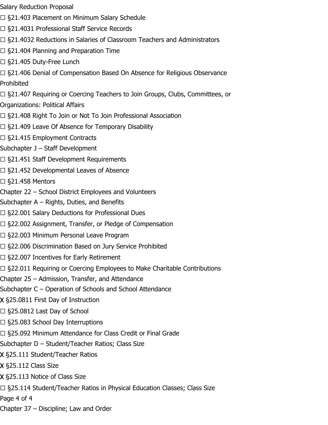- Salary Reduction Proposal
- □ §21.403 Placement on Minimum Salary Schedule
- ☐ §21.4031 Professional Staff Service Records
- ☐ §21.4032 Reductions in Salaries of Classroom Teachers and Administrators
- ☐ §21.404 Planning and Preparation Time
- ☐ §21.405 Duty-Free Lunch
- □ §21.406 Denial of Compensation Based On Absence for Religious Observance Prohibited
- □ §21.407 Requiring or Coercing Teachers to Join Groups, Clubs, Committees, or Organizations: Political Affairs
- □ §21.408 Right To Join or Not To Join Professional Association
- ☐ §21.409 Leave Of Absence for Temporary Disability
- □ §21.415 Employment Contracts
- Subchapter J Staff Development
- □ §21.451 Staff Development Requirements
- ☐ §21.452 Developmental Leaves of Absence
- $\Box$  §21.458 Mentors
- Chapter 22 School District Employees and Volunteers
- Subchapter A Rights, Duties, and Benefits
- □ §22.001 Salary Deductions for Professional Dues
- ☐ §22.002 Assignment, Transfer, or Pledge of Compensation
- ☐ §22.003 Minimum Personal Leave Program
- ☐ §22.006 Discrimination Based on Jury Service Prohibited
- ☐ §22.007 Incentives for Early Retirement
- □ §22.011 Requiring or Coercing Employees to Make Charitable Contributions
- Chapter 25 Admission, Transfer, and Attendance
- Subchapter C Operation of Schools and School Attendance
- X §25.0811 First Day of Instruction
- ☐ §25.0812 Last Day of School
- $\Box$  §25.083 School Day Interruptions
- □ §25.092 Minimum Attendance for Class Credit or Final Grade
- Subchapter D Student/Teacher Ratios; Class Size
- X §25.111 Student/Teacher Ratios
- X §25.112 Class Size
- X §25.113 Notice of Class Size
- ☐ §25.114 Student/Teacher Ratios in Physical Education Classes; Class Size
- Page 4 of 4
- Chapter 37 Discipline; Law and Order